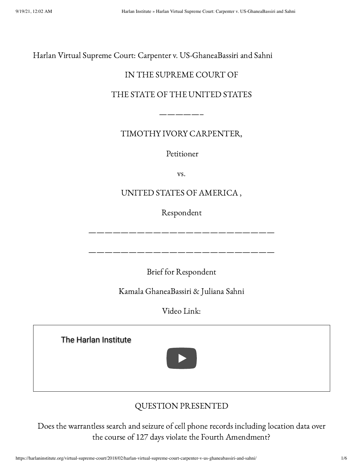Harlan Virtual Supreme Court: Carpenter v. US-GhaneaBassiri and Sahni

## IN THE SUPREME COURT OF

### THE STATE OF THE UNITED STATES

TIMOTHY IVORY CARPENTER,

—————–

Petitioner

vs.

# UNITED STATES OF AMERICA ,

Respondent

———————————————————————

———————————————————————

Brief for Respondent

Kamala GhaneaBassiri & Juliana Sahni

Video Link:

[The Harlan Institute](https://www.youtube.com/watch?v=EupKMafBG10)



# QUESTION PRESENTED

Does the warrantless search and seizure of cell phone records including location data over the course of 127 days violate the Fourth Amendment?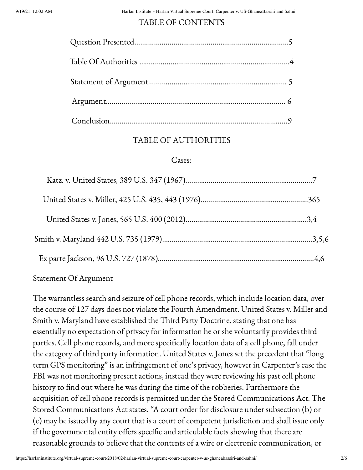### TABLE OF CONTENTS

### TABLE OF AUTHORITIES

### Cases:

### Statement Of Argument

The warrantless search and seizure of cell phone records, which include location data, over the course of 127 days does not violate the Fourth Amendment. United States v. Miller and Smith v. Maryland have established the Third Party Doctrine, stating that one has essentially no expectation of privacy for information he or she voluntarily provides third parties. Cell phone records, and more specifically location data of a cell phone, fall under the category of third party information. United States v. Jones set the precedent that "long term GPS monitoring" is an infringement of one's privacy, however in Carpenter's case the FBI was not monitoring present actions, instead they were reviewing his past cell phone history to find out where he was during the time of the robberies. Furthermore the acquisition of cell phone records is permitted under the Stored Communications Act. The Stored Communications Act states, "A court order for disclosure under subsection (b) or (c) may be issued by any court that is a court of competent jurisdiction and shall issue only if the governmental entity offers specific and articulable facts showing that there are reasonable grounds to believe that the contents of a wire or electronic communication, or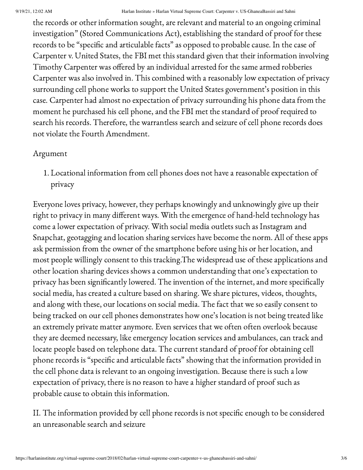the records or other information sought, are relevant and material to an ongoing criminal investigation" (Stored Communications Act), establishing the standard of proof for these records to be "specific and articulable facts" as opposed to probable cause. In the case of Carpenter v. United States, the FBI met this standard given that their information involving Timothy Carpenter was offered by an individual arrested for the same armed robberies Carpenter was also involved in. This combined with a reasonably low expectation of privacy surrounding cell phone works to support the United States government's position in this case. Carpenter had almost no expectation of privacy surrounding his phone data from the moment he purchased his cell phone, and the FBI met the standard of proof required to search his records. Therefore, the warrantless search and seizure of cell phone records does not violate the Fourth Amendment.

### Argument

1. Locational information from cell phones does not have a reasonable expectation of privacy

Everyone loves privacy, however, they perhaps knowingly and unknowingly give up their right to privacy in many different ways. With the emergence of hand-held technology has come a lower expectation of privacy. With social media outlets such as Instagram and Snapchat, geotagging and location sharing services have become the norm. All of these apps ask permission from the owner of the smartphone before using his or her location, and most people willingly consent to this tracking.The widespread use of these applications and other location sharing devices shows a common understanding that one's expectation to privacy has been significantly lowered. The invention of the internet, and more specifically social media, has created a culture based on sharing. We share pictures, videos, thoughts, and along with these, our locations on social media. The fact that we so easily consent to being tracked on our cell phones demonstrates how one's location is not being treated like an extremely private matter anymore. Even services that we often often overlook because they are deemed necessary, like emergency location services and ambulances, can track and locate people based on telephone data. The current standard of proof for obtaining cell phone records is "specific and articulable facts" showing that the information provided in the cell phone data is relevant to an ongoing investigation. Because there is such a low expectation of privacy, there is no reason to have a higher standard of proof such as probable cause to obtain this information.

II. The information provided by cell phone records is not specific enough to be considered an unreasonable search and seizure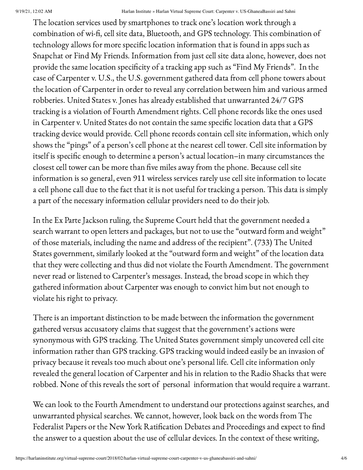The location services used by smartphones to track one's location work through a combination of wi-fi, cell site data, Bluetooth, and GPS technology. This combination of technology allows for more specific location information that is found in apps such as Snapchat or Find My Friends. Information from just cell site data alone, however, does not provide the same location specificity of a tracking app such as "Find My Friends". In the case of Carpenter v. U.S., the U.S. government gathered data from cell phone towers about the location of Carpenter in order to reveal any correlation between him and various armed robberies. United States v. Jones has already established that unwarranted 24/7 GPS tracking is a violation of Fourth Amendment rights. Cell phone records like the ones used in Carpenter v. United States do not contain the same specific location data that a GPS tracking device would provide. Cell phone records contain cell site information, which only shows the "pings" of a person's cell phone at the nearest cell tower. Cell site information by itself is specific enough to determine a person's actual location–in many circumstances the closest cell tower can be more than five miles away from the phone. Because cell site information is so general, even 911 wireless services rarely use cell site information to locate a cell phone call due to the fact that it is not useful for tracking a person. This data is simply a part of the necessary information cellular providers need to do their job.

In the Ex Parte Jackson ruling, the Supreme Court held that the government needed a search warrant to open letters and packages, but not to use the "outward form and weight" of those materials, including the name and address of the recipient". (733) The United States government, similarly looked at the "outward form and weight" of the location data that they were collecting and thus did not violate the Fourth Amendment. The government never read or listened to Carpenter's messages. Instead, the broad scope in which they gathered information about Carpenter was enough to convict him but not enough to violate his right to privacy.

There is an important distinction to be made between the information the government gathered versus accusatory claims that suggest that the government's actions were synonymous with GPS tracking. The United States government simply uncovered cell cite information rather than GPS tracking. GPS tracking would indeed easily be an invasion of privacy because it reveals too much about one's personal life. Cell cite information only revealed the general location of Carpenter and his in relation to the Radio Shacks that were robbed. None of this reveals the sort of personal information that would require a warrant.

We can look to the Fourth Amendment to understand our protections against searches, and unwarranted physical searches. We cannot, however, look back on the words from The Federalist Papers or the New York Ratification Debates and Proceedings and expect to find the answer to a question about the use of cellular devices. In the context of these writing,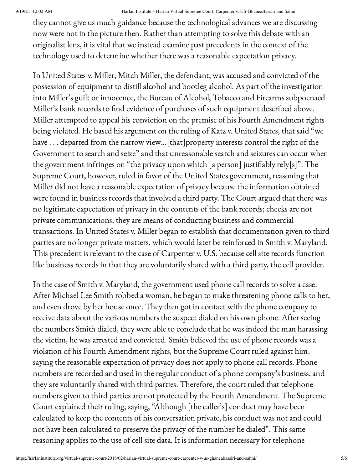#### 9/19/21, 12:02 AM Harlan Institute » Harlan Virtual Supreme Court: Carpenter v. US-GhaneaBassiri and Sahni

they cannot give us much guidance because the technological advances we are discussing now were not in the picture then. Rather than attempting to solve this debate with an originalist lens, it is vital that we instead examine past precedents in the context of the technology used to determine whether there was a reasonable expectation privacy.

In United States v. Miller, Mitch Miller, the defendant, was accused and convicted of the possession of equipment to distill alcohol and bootleg alcohol. As part of the investigation into Miller's guilt or innocence, the Bureau of Alcohol, Tobacco and Firearms subpoenaed Miller's bank records to find evidence of purchases of such equipment described above. Miller attempted to appeal his conviction on the premise of his Fourth Amendment rights being violated. He based his argument on the ruling of Katz v. United States, that said "we have . . . departed from the narrow view…[that]property interests control the right of the Government to search and seize" and that unreasonable search and seizures can occur when the government infringes on "the privacy upon which [a person] justifiably rely[s]". The Supreme Court, however, ruled in favor of the United States government, reasoning that Miller did not have a reasonable expectation of privacy because the information obtained were found in business records that involved a third party. The Court argued that there was no legitimate expectation of privacy in the contents of the bank records; checks are not private communications, they are means of conducting business and commercial transactions. In United States v. Miller began to establish that documentation given to third parties are no longer private matters, which would later be reinforced in Smith v. Maryland. This precedent is relevant to the case of Carpenter v. U.S. because cell site records function like business records in that they are voluntarily shared with a third party, the cell provider.

In the case of Smith v. Maryland, the government used phone call records to solve a case. After Michael Lee Smith robbed a woman, he began to make threatening phone calls to her, and even drove by her house once. They then got in contact with the phone company to receive data about the various numbers the suspect dialed on his own phone. After seeing the numbers Smith dialed, they were able to conclude that he was indeed the man harassing the victim, he was arrested and convicted. Smith believed the use of phone records was a violation of his Fourth Amendment rights, but the Supreme Court ruled against him, saying the reasonable expectation of privacy does not apply to phone call records. Phone numbers are recorded and used in the regular conduct of a phone company's business, and they are voluntarily shared with third parties. Therefore, the court ruled that telephone numbers given to third parties are not protected by the Fourth Amendment. The Supreme Court explained their ruling, saying, "Although [the caller's] conduct may have been calculated to keep the contents of his conversation private, his conduct was not and could not have been calculated to preserve the privacy of the number he dialed". This same reasoning applies to the use of cell site data. It is information necessary for telephone